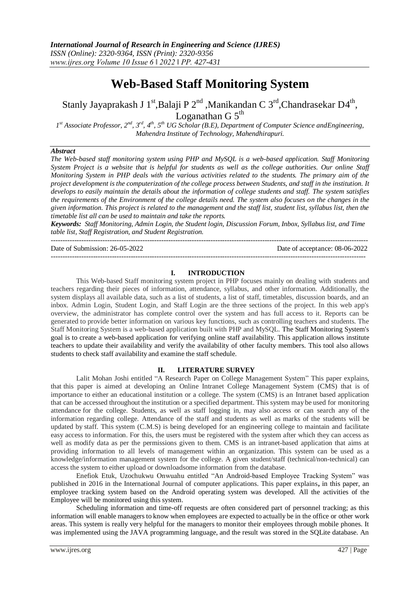# **Web-Based Staff Monitoring System**

# Stanly Jayaprakash J 1<sup>st</sup>,Balaji P 2<sup>nd</sup> ,Manikandan C 3<sup>rd</sup>,Chandrasekar D4<sup>th</sup>, Loganathan G $5^{\rm th}$

*1 st Associate Professor, 2nd, 3rd, 4th, 5th UG Scholar (B.E), Department of Computer Science andEngineering, Mahendra Institute of Technology, Mahendhirapuri.*

# *Abstract*

*The Web-based staff monitoring system using PHP and MySQL is a web-based application. Staff Monitoring System Project is a website that is helpful for students as well as the college authorities. Our online Staff Monitoring System in PHP deals with the various activities related to the students. The primary aim of the* project development is the computerization of the college process between Students, and staff in the institution. It *develops to easily maintain the details about the information of college students and staff. The system satisfies the requirements of the Environment of the college details need. The system also focuses on the changes in the given information. This project is related to the management and the staff list, student list, syllabus list, then the timetable list all can be used to maintain and take the reports.*

*Keywords: Staff Monitoring, Admin Login, the Student login, Discussion Forum, Inbox, Syllabus list, and Time table list, Staff Registration, and Student Registration.* ---------------------------------------------------------------------------------------------------------------------------------------

Date of Submission: 26-05-2022 Date of acceptance: 08-06-2022

## **I. INTRODUCTION**

--------------------------------------------------------------------------------------------------------------------------------------

This Web-based Staff monitoring system project in PHP focuses mainly on dealing with students and teachers regarding their pieces of information, attendance, syllabus, and other information. Additionally, the system displays all available data, such as a list of students, a list of staff, timetables, discussion boards, and an inbox. Admin Login, Student Login, and Staff Login are the three sections of the project. In this web app's overview, the administrator has complete control over the system and has full access to it. Reports can be generated to provide better information on various key functions, such as controlling teachers and students. The Staff Monitoring System is a web-based application built with PHP and MySQL. The Staff Monitoring System's goal is to create a web-based application for verifying online staff availability. This application allows institute teachers to update their availability and verify the availability of other faculty members. This tool also allows students to check staff availability and examine the staff schedule.

## **II. LITERATURE SURVEY**

Lalit Mohan Joshi entitled "A Research Paper on College Management System" This paper explains, that this paper is aimed at developing an Online Intranet College Management System (CMS) that is of importance to either an educational institution or a college. The system (CMS) is an Intranet based application that can be accessed throughout the institution or a specified department. This system may be used for monitoring attendance for the college. Students, as well as staff logging in, may also access or can search any of the information regarding college. Attendance of the staff and students as well as marks of the students will be updated by staff. This system (C.M.S) is being developed for an engineering college to maintain and facilitate easy access to information. For this, the users must be registered with the system after which they can access as well as modify data as per the permissions given to them. CMS is an intranet-based application that aims at providing information to all levels of management within an organization. This system can be used as a knowledge/information management system for the college. A given student/staff (technical/non-technical) can access the system to either upload or downloadsome information from the database.

Enefiok Etuk, Uzochukwu Onwuahu entitled "An Android-based Employee Tracking System" was published in 2016 in the International Journal of computer applications. This paper explains**,** in this paper, an employee tracking system based on the Android operating system was developed. All the activities of the Employee will be monitored using this system.

Scheduling information and time-off requests are often considered part of personnel tracking; as this information will enable managers to know when employees are expected to actually be in the office or other work areas. This system is really very helpful for the managers to monitor their employees through mobile phones. It was implemented using the JAVA programming language, and the result was stored in the SQLite database. An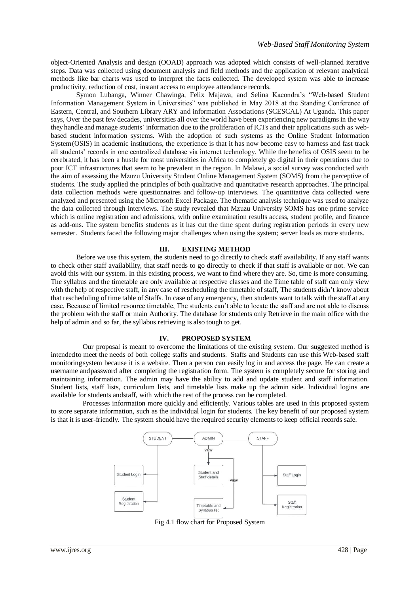object-Oriented Analysis and design (OOAD) approach was adopted which consists of well-planned iterative steps. Data was collected using document analysis and field methods and the application of relevant analytical methods like bar charts was used to interpret the facts collected. The developed system was able to increase productivity, reduction of cost, instant access to employee attendance records.

Symon Lubanga, Winner Chawinga, Felix Majawa, and Selina Kacondra's "Web-based Student Information Management System in Universities" was published in May 2018 at the Standing Conference of Eastern, Central, and Southern Library ARY and information Associations (SCESCAL) At Uganda. This paper says, Over the past few decades, universities all over the world have been experiencing new paradigmsin the way they handle and manage students' information due to the proliferation of ICTs and their applications such as webbased student information systems. With the adoption of such systems as the Online Student Information System(OSIS) in academic institutions, the experience is that it has now become easy to harness and fast track all students' records in one centralized database via internet technology. While the benefits of OSIS seem to be cerebrated, it has been a hustle for most universities in Africa to completely go digital in their operations due to poor ICT infrastructures that seem to be prevalent in the region. In Malawi, a social survey was conducted with the aim of assessing the Mzuzu University Student Online Management System (SOMS) from the perceptive of students. The study applied the principles of both qualitative and quantitative research approaches. The principal data collection methods were questionnaires and follow-up interviews. The quantitative data collected were analyzed and presented using the Microsoft Excel Package. The thematic analysis technique was used to analyze the data collected through interviews. The study revealed that Mzuzu University SOMS has one prime service which is online registration and admissions, with online examination results access, student profile, and finance as add-ons. The system benefits students as it has cut the time spent during registration periods in every new semester. Students faced the following major challenges when using the system; server loads as more students.

## **III. EXISTING METHOD**

Before we use this system, the students need to go directly to check staff availability. If any staff wants to check other staff availability, that staff needs to go directly to check if that staff is available or not. We can avoid this with our system. In this existing process, we want to find where they are. So, time is more consuming. The syllabus and the timetable are only available at respective classes and the Time table of staff can only view with the help of respective staff, in any case of rescheduling the timetable of staff, The students didn't know about that rescheduling of time table of Staffs. In case of any emergency, then students want to talk with the staff at any case, Because of limited resource timetable, The students can't able to locate the staff and are not able to discuss the problem with the staff or main Authority. The database for students only Retrieve in the main office with the help of admin and so far, the syllabus retrieving is also tough to get.

#### **IV. PROPOSED SYSTEM**

Our proposal is meant to overcome the limitations of the existing system. Our suggested method is intendedto meet the needs of both college staffs and students. Staffs and Students can use this Web-based staff monitoringsystem because it is a website. Then a person can easily log in and access the page. He can create a username andpassword after completing the registration form. The system is completely secure for storing and maintaining information. The admin may have the ability to add and update student and staff information. Student lists, staff lists, curriculum lists, and timetable lists make up the admin side. Individual logins are available for students andstaff, with which the rest of the process can be completed.

Processes information more quickly and efficiently. Various tables are used in this proposed system to store separate information, such as the individual login for students. The key benefit of our proposed system is that it is user-friendly. The system should have the required security elements to keep official records safe.



Fig 4.1 flow chart for Proposed System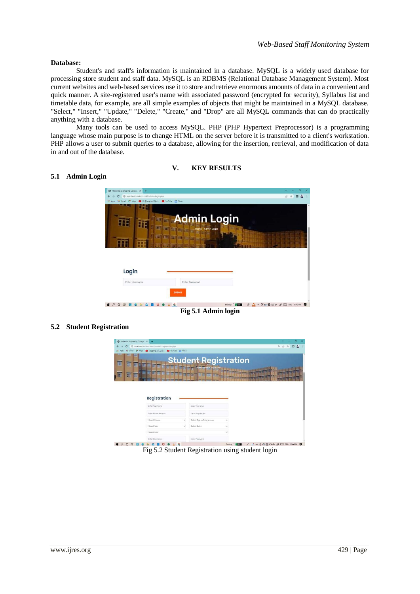## **Database:**

Student's and staff's information is maintained in a database. MySQL is a widely used database for processing store student and staff data. MySQL is an RDBMS (Relational Database Management System). Most current websites and web-based services use it to store and retrieve enormous amounts of data in a convenient and quick manner. A site-registered user's name with associated password (encrypted for security), Syllabus list and timetable data, for example, are all simple examples of objects that might be maintained in a MySQL database. "Select," "Insert," "Update," "Delete," "Create," and "Drop" are all MySQL commands that can do practically anything with a database.

Many tools can be used to access MySQL. PHP (PHP Hypertext Preprocessor) is a programming language whose main purpose is to change HTML on the server before it is transmitted to a client's workstation. PHP allows a user to submit queries to a database, allowing for the insertion, retrieval, and modification of data in and out of the database.

# **V. KEY RESULTS**

# 2 × 0 &  $_{\rm c}$  $\circ$  $\mathbf{r}$  $\blacksquare$ ≡ <del>⊪</del> Admin Login m **IF In an** Login Enter Userna **EPORBOROBUO & G** Destop **EXES** & A A B & B D ON & E ENG DIAZPM P

**Fig 5.1 Admin login**

# **5.2 Student Registration**



Fig 5.2 Student Registration using student login

# **5.1 Admin Login**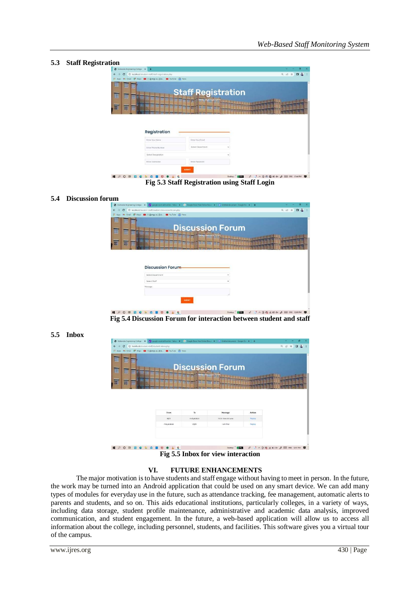# **5.3 Staff Registration**

| Mahendra Engineering College X +                                                            |                                                                           |                       | $\sigma$                                                                                                          |
|---------------------------------------------------------------------------------------------|---------------------------------------------------------------------------|-----------------------|-------------------------------------------------------------------------------------------------------------------|
| C localhost/student-staff/staff-registration.php<br>$\epsilon$                              |                                                                           |                       | $\Box$<br>$Q \not\equiv$<br>立                                                                                     |
| M Gmail & Maps @ (1)@eng.uc. @ LouTube @ News<br>田                                          |                                                                           |                       |                                                                                                                   |
| H<br>田<br>田<br><b>TR</b><br>H<br>丽<br>贉<br>田<br>HILL HILL SHEET HILL THE ST<br>Registration | <b>Staff Registration</b><br><u>u ministrativ di m</u><br><b>WARRANTE</b> |                       |                                                                                                                   |
| Enter Your Name                                                                             | Enter Your Email                                                          |                       |                                                                                                                   |
| <b>Enter Phone Number</b>                                                                   | Select Department                                                         | v                     |                                                                                                                   |
| Select Designation                                                                          |                                                                           |                       |                                                                                                                   |
| Enter Username                                                                              | Enter Password                                                            |                       |                                                                                                                   |
| ∣€                                                                                          | <b>SUBMIT</b>                                                             | A<br>1,850<br>Desktop | $! \wedge \oplus \oplus \oplus \oplus \oplus \times \mathcal{J} = \oplus \oplus \oplus \oplus \oplus \mathcal{M}$ |

**Fig 5.3 Staff Registration using Staff Login**

### **5.4 Discussion forum**

|   |            |           | A Mahendra Engineering College X 1 2 page word edit poline - Yahos X   C Google Docs Free Online Docs X   E Untitled document - Google Ds X   + |                         |                   |  |  |         |   |        |  |
|---|------------|-----------|-------------------------------------------------------------------------------------------------------------------------------------------------|-------------------------|-------------------|--|--|---------|---|--------|--|
|   | $\epsilon$ |           | 4 localhost/student-staft/student-discussion-forum.php                                                                                          |                         |                   |  |  | $Q$ $P$ | ☆ | $\Box$ |  |
|   | M          |           | Gmail: E <sup>4</sup> Maps (1) @40-5 (0) CB-D. C YouTube (2) News                                                                               |                         |                   |  |  |         |   |        |  |
| Ŧ | 冊冊         |           |                                                                                                                                                 |                         |                   |  |  |         |   |        |  |
| 丽 |            |           |                                                                                                                                                 | <b>Discussion Forum</b> |                   |  |  |         |   |        |  |
|   |            |           | H BITHING BOOKS AND BUILDING                                                                                                                    |                         |                   |  |  |         |   |        |  |
| 圓 | 冊          | <b>HH</b> | <u>s w w w w w w w w m w w w w za</u>                                                                                                           |                         |                   |  |  |         |   |        |  |
|   |            |           | an an an an an an                                                                                                                               |                         | <b>MARK CORP.</b> |  |  |         |   |        |  |
|   |            |           |                                                                                                                                                 |                         |                   |  |  |         |   |        |  |
|   |            |           |                                                                                                                                                 |                         |                   |  |  |         |   |        |  |
|   |            |           |                                                                                                                                                 |                         |                   |  |  |         |   |        |  |
|   |            |           |                                                                                                                                                 |                         |                   |  |  |         |   |        |  |
|   |            |           | <b>Discussion Forum</b>                                                                                                                         |                         |                   |  |  |         |   |        |  |
|   |            |           | Select Department                                                                                                                               |                         |                   |  |  |         |   |        |  |
|   |            |           | Salact Staff                                                                                                                                    |                         |                   |  |  |         |   |        |  |
|   |            |           | Message                                                                                                                                         |                         |                   |  |  |         |   |        |  |
|   |            |           |                                                                                                                                                 |                         |                   |  |  |         |   |        |  |
|   |            |           |                                                                                                                                                 |                         |                   |  |  |         |   |        |  |
|   |            |           |                                                                                                                                                 | <b>SUBMIT</b>           |                   |  |  |         |   |        |  |

**Fig 5.4 Discussion Forum for interaction between student and staff**

#### **5.5 Inbox**

|             | 1 D localhost/student-staff/student-inbox.php                |            |                         |        | $\alpha$<br>岭<br>$\Box$<br>÷ |
|-------------|--------------------------------------------------------------|------------|-------------------------|--------|------------------------------|
|             | El Apps Ny Gmail Et Maps (1) @ mg in Cold (2) YouTube m News |            |                         |        |                              |
| 田.          |                                                              |            |                         |        |                              |
| 田田          |                                                              |            |                         |        |                              |
| B<br>冊      |                                                              |            | <b>Discussion Forum</b> |        |                              |
|             | H H H H H H H H H H H H H H H H H H                          |            |                         |        |                              |
| 丽<br>聑<br>E | <u>s sa sa sa sana na mare sa sa</u>                         |            |                         |        |                              |
|             | <b>19   1971   1783   2333</b>                               |            |                         |        |                              |
|             |                                                              |            |                         |        |                              |
|             |                                                              |            |                         |        |                              |
|             |                                                              |            |                         |        |                              |
|             |                                                              |            |                         |        |                              |
|             |                                                              |            |                         |        |                              |
|             |                                                              |            |                         |        |                              |
|             | From                                                         | To         | Message                 | Action |                              |
|             | Ajith                                                        | meiyalakan | hi sir how are you      | Replay |                              |
|             | melyalakan                                                   | Ajith      | Lam fine                | Replay |                              |
|             |                                                              |            |                         |        |                              |
|             |                                                              |            |                         |        |                              |
|             |                                                              |            |                         |        |                              |

**Fig 5.5 Inbox for view interaction**

### **VI. FUTURE ENHANCEMENTS**

The major motivation is to have students and staff engage without having to meet in person. In the future, the work may be turned into an Android application that could be used on any smart device. We can add many types of modules for everyday use in the future, such as attendance tracking, fee management, automatic alerts to parents and students, and so on. This aids educational institutions, particularly colleges, in a variety of ways, including data storage, student profile maintenance, administrative and academic data analysis, improved communication, and student engagement. In the future, a web-based application will allow us to access all information about the college, including personnel, students, and facilities. This software gives you a virtual tour of the campus.